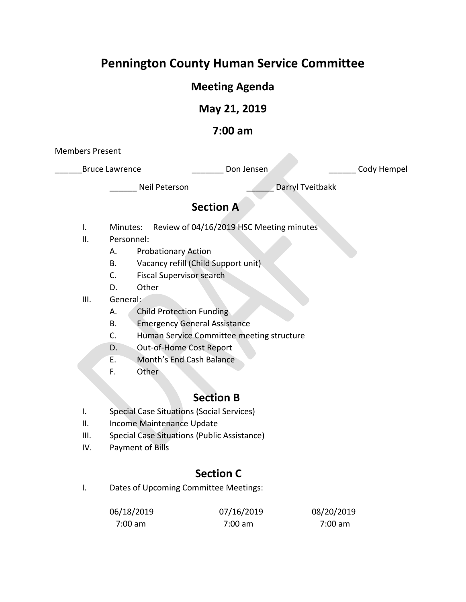# **Pennington County Human Service Committee**

# **Meeting Agenda**

# **May 21, 2019**

### **7:00 am**

Members Present

Bruce Lawrence **Lawrence Lawrence Lawrence Lawrence Lawrence Lawrence Lawrence Lawrence Lawrence Lawrence Lawrence Lawrence Lawrence Lawrence Lawrence Lawrence Lawrence Lawrence Lawrence** 

Neil Peterson **Darryl Tveitbakk** 

# **Section A**

- I. Minutes: Review of 04/16/2019 HSC Meeting minutes
- II. Personnel:
	- A. Probationary Action
	- B. Vacancy refill (Child Support unit)
	- C. Fiscal Supervisor search
	- D. Other
- III. General:
	- A. Child Protection Funding
	- B. Emergency General Assistance
	- C. Human Service Committee meeting structure
	- D. Out-of-Home Cost Report
	- E. Month's End Cash Balance
	- F. Other

## **Section B**

- I. Special Case Situations (Social Services)
- II. Income Maintenance Update
- III. Special Case Situations (Public Assistance)
- IV. Payment of Bills

# **Section C**

I. Dates of Upcoming Committee Meetings:

| 06/18/2019 | 07/16/2019        | 08/20/2019 |
|------------|-------------------|------------|
| 7:00 am    | $7:00 \text{ am}$ | 7:00 am    |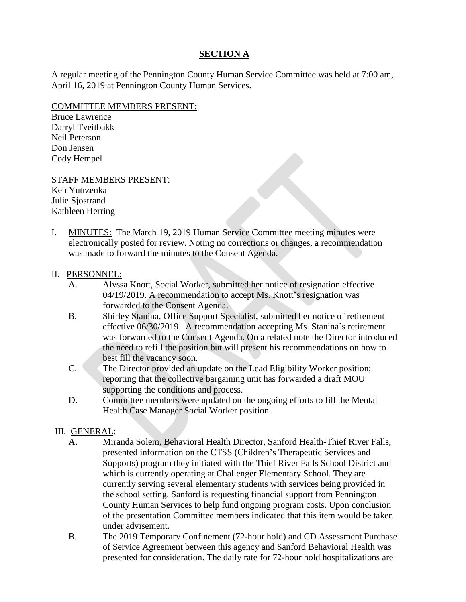### **SECTION A**

A regular meeting of the Pennington County Human Service Committee was held at 7:00 am, April 16, 2019 at Pennington County Human Services.

#### COMMITTEE MEMBERS PRESENT:

Bruce Lawrence Darryl Tveitbakk Neil Peterson Don Jensen Cody Hempel

#### STAFF MEMBERS PRESENT:

Ken Yutrzenka Julie Sjostrand Kathleen Herring

I. MINUTES: The March 19, 2019 Human Service Committee meeting minutes were electronically posted for review. Noting no corrections or changes, a recommendation was made to forward the minutes to the Consent Agenda.

#### II. PERSONNEL:

- A. Alyssa Knott, Social Worker, submitted her notice of resignation effective 04/19/2019. A recommendation to accept Ms. Knott's resignation was forwarded to the Consent Agenda.
- B. Shirley Stanina, Office Support Specialist, submitted her notice of retirement effective 06/30/2019. A recommendation accepting Ms. Stanina's retirement was forwarded to the Consent Agenda. On a related note the Director introduced the need to refill the position but will present his recommendations on how to best fill the vacancy soon.
- C. The Director provided an update on the Lead Eligibility Worker position; reporting that the collective bargaining unit has forwarded a draft MOU supporting the conditions and process.
- D. Committee members were updated on the ongoing efforts to fill the Mental Health Case Manager Social Worker position.

#### III. GENERAL:

- A. Miranda Solem, Behavioral Health Director, Sanford Health-Thief River Falls, presented information on the CTSS (Children's Therapeutic Services and Supports) program they initiated with the Thief River Falls School District and which is currently operating at Challenger Elementary School. They are currently serving several elementary students with services being provided in the school setting. Sanford is requesting financial support from Pennington County Human Services to help fund ongoing program costs. Upon conclusion of the presentation Committee members indicated that this item would be taken under advisement.
- B. The 2019 Temporary Confinement (72-hour hold) and CD Assessment Purchase of Service Agreement between this agency and Sanford Behavioral Health was presented for consideration. The daily rate for 72-hour hold hospitalizations are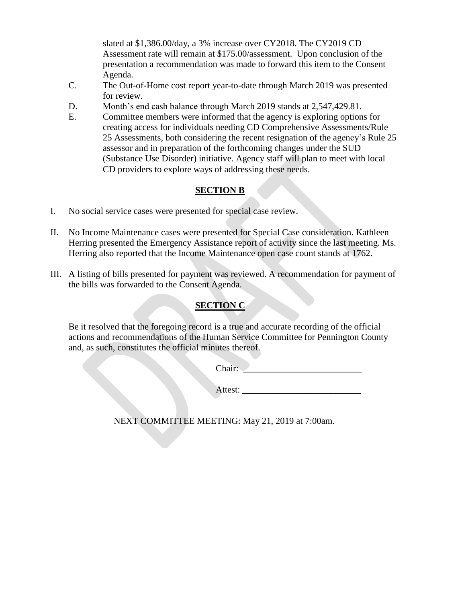slated at \$1,386.00/day, a 3% increase over CY2018. The CY2019 CD Assessment rate will remain at \$175.00/assessment. Upon conclusion of the presentation a recommendation was made to forward this item to the Consent Agenda.

- C. The Out-of-Home cost report year-to-date through March 2019 was presented for review.
- D. Month's end cash balance through March 2019 stands at 2,547,429.81.
- E. Committee members were informed that the agency is exploring options for creating access for individuals needing CD Comprehensive Assessments/Rule 25 Assessments, both considering the recent resignation of the agency's Rule 25 assessor and in preparation of the forthcoming changes under the SUD (Substance Use Disorder) initiative. Agency staff will plan to meet with local CD providers to explore ways of addressing these needs.

### **SECTION B**

- I. No social service cases were presented for special case review.
- II. No Income Maintenance cases were presented for Special Case consideration. Kathleen Herring presented the Emergency Assistance report of activity since the last meeting. Ms. Herring also reported that the Income Maintenance open case count stands at 1762.
- III. A listing of bills presented for payment was reviewed. A recommendation for payment of the bills was forwarded to the Consent Agenda.

### **SECTION C**

Be it resolved that the foregoing record is a true and accurate recording of the official actions and recommendations of the Human Service Committee for Pennington County and, as such, constitutes the official minutes thereof.

Chair:

Attest: \_\_\_\_\_\_\_\_\_\_\_\_\_\_\_\_\_\_\_\_\_\_\_\_\_\_

NEXT COMMITTEE MEETING: May 21, 2019 at 7:00am.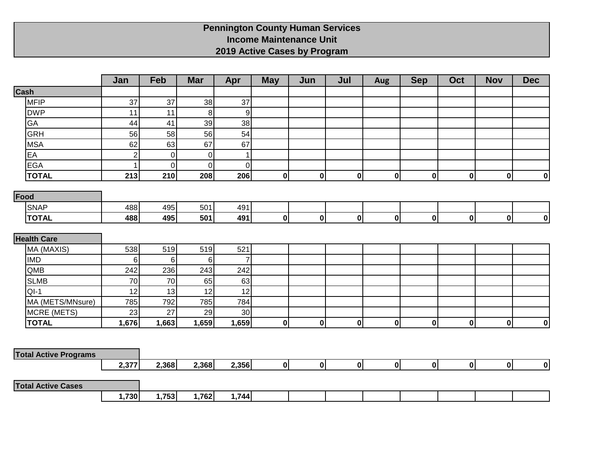### **Pennington County Human Services Income Maintenance Unit 2019 Active Cases by Program**

|                              | Jan                     | Feb             | <b>Mar</b>       | Apr              | <b>May</b>       | Jun          | Jul          | Aug          | <b>Sep</b>  | Oct | <b>Nov</b>   | <b>Dec</b>              |
|------------------------------|-------------------------|-----------------|------------------|------------------|------------------|--------------|--------------|--------------|-------------|-----|--------------|-------------------------|
| Cash                         |                         |                 |                  |                  |                  |              |              |              |             |     |              |                         |
| MFIP                         | 37                      | 37              | 38               | 37               |                  |              |              |              |             |     |              |                         |
| <b>DWP</b>                   | 11                      | 11              | $\bf{8}$         | $\boldsymbol{9}$ |                  |              |              |              |             |     |              |                         |
| GA                           | 44                      | 41              | 39               | 38               |                  |              |              |              |             |     |              |                         |
| GRH                          | 56                      | 58              | 56               | 54               |                  |              |              |              |             |     |              |                         |
| <b>MSA</b>                   | 62                      | 63              | 67               | 67               |                  |              |              |              |             |     |              |                         |
| EA                           | $\overline{c}$          | 0               | $\pmb{0}$        | $\mathbf 1$      |                  |              |              |              |             |     |              |                         |
| <b>EGA</b>                   | $\overline{\mathbf{1}}$ | $\mathbf 0$     | $\mathbf 0$      | $\mathbf 0$      |                  |              |              |              |             |     |              |                         |
| <b>TOTAL</b>                 | 213                     | 210             | 208              | 206              | 0                | $\mathbf{0}$ | $\mathbf{0}$ | $\mathbf{0}$ | $\mathbf 0$ | 0   | 0            | 0                       |
| Food                         |                         |                 |                  |                  |                  |              |              |              |             |     |              |                         |
| <b>SNAP</b>                  | 488                     | 495             | 501              | 491              |                  |              |              |              |             |     |              |                         |
| <b>TOTAL</b>                 | 488                     | 495             | 501              | 491              | $\boldsymbol{0}$ | $\mathbf{0}$ | $\mathbf{0}$ | $\mathbf{0}$ | $\mathbf 0$ | 0   | $\mathbf 0$  | $\boldsymbol{0}$        |
|                              |                         |                 |                  |                  |                  |              |              |              |             |     |              |                         |
| <b>Health Care</b>           |                         |                 |                  |                  |                  |              |              |              |             |     |              |                         |
| MA (MAXIS)                   | 538                     | 519             | 519              | 521              |                  |              |              |              |             |     |              |                         |
| <b>IMD</b>                   | $6\phantom{1}$          | $6\phantom{1}6$ | $6 \overline{6}$ | $\overline{7}$   |                  |              |              |              |             |     |              |                         |
| QMB                          | 242                     | 236             | 243              | 242              |                  |              |              |              |             |     |              |                         |
| <b>SLMB</b>                  | 70                      | 70              | 65               | 63               |                  |              |              |              |             |     |              |                         |
| $QI-1$                       | 12                      | 13              | 12               | 12               |                  |              |              |              |             |     |              |                         |
| MA (METS/MNsure)             | 785                     | 792             | 785              | 784              |                  |              |              |              |             |     |              |                         |
| MCRE (METS)                  | 23                      | 27              | 29               | 30               |                  |              |              |              |             |     |              |                         |
| <b>TOTAL</b>                 | 1,676                   | 1,663           | 1,659            | 1,659            | $\mathbf{0}$     | $\mathbf{0}$ | 0            | 0            | $\pmb{0}$   | 0   | 0            | $\overline{\mathbf{0}}$ |
|                              |                         |                 |                  |                  |                  |              |              |              |             |     |              |                         |
|                              |                         |                 |                  |                  |                  |              |              |              |             |     |              |                         |
| <b>Total Active Programs</b> | 2,377                   | 2,368           | 2,368            | 2,356            | 0                | $\mathbf{0}$ | 0            | 0            | 0           | 0   | $\mathbf{0}$ | 0                       |
|                              |                         |                 |                  |                  |                  |              |              |              |             |     |              |                         |
| <b>Total Active Cases</b>    |                         |                 |                  |                  |                  |              |              |              |             |     |              |                         |
|                              | 1,730                   | 1,753           | 1,762            | 1,744            |                  |              |              |              |             |     |              |                         |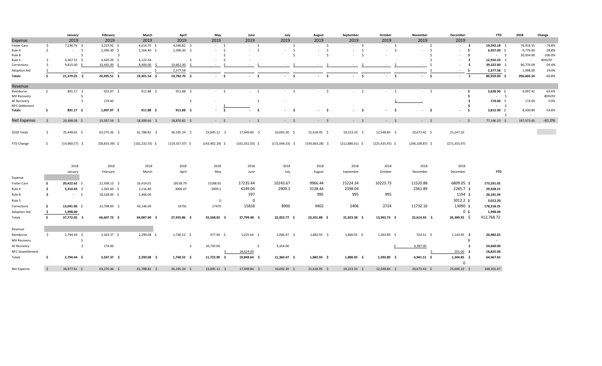|                         |                     | January             | February         | March              | April               | May                      | June               | July               | August                                | September         | October              | November                 | December                      | <b>YTD</b>         | 2018       | Change    |
|-------------------------|---------------------|---------------------|------------------|--------------------|---------------------|--------------------------|--------------------|--------------------|---------------------------------------|-------------------|----------------------|--------------------------|-------------------------------|--------------------|------------|-----------|
| Expense                 |                     | 2019                | 2019             | 2019               | 2019                | 2019                     | 2019               | 2019               | 2019                                  | 2019              | 2019                 | 2019                     | 2019                          |                    |            |           |
| Foster Care             | \$                  | 7,196.74 \$         | 3,233.92 \$      | 4,614.70 \$        | 4,346.82 \$         | $-5$                     | $-5$               | $-5$               | $-5$                                  | $-5$              | $-5$                 | $-5$                     | $-5$                          | 19,392.18 \$       | 76,918.55  | $-74.8%$  |
| Rule 4                  | $\mathsf{S}$        | $-5$                | 2,396.30 \$      | $2,164.40$ \$      | 2,396.30 \$         | $-5$                     | $-5$               | -\$<br>$\sim$      | $\ddot{\mathsf{s}}$<br>$\sim 10^{-1}$ | $-5$              | S.<br>$\sim$         | - Ś<br>$\sim 10^{-1}$    | - \$<br>$\sim$                | 6,957.00 \$        | 9,776.90   | $-28.8%$  |
| Rule 8                  |                     | Ŝ.                  | $-5$             |                    |                     |                          |                    | Ŝ.                 | $\mathsf{S}$<br>$\sim 10^{-1}$        | $-5$              | $\sim$               |                          | \$<br>$\sim$                  | $-$ \$             | 20,934.00  | $-100.0%$ |
| Rule 5                  | -S                  | $4,367.51$ \$       | 4,420.29 \$      | 4,122.44           | Ŝ.                  | $-5$                     | $\sim$             |                    |                                       |                   |                      |                          | - Ś<br>$\sim$                 | $12,910.24$ \$     | $\sim$     | #DIV/0!   |
| Corrections             | Ŝ.                  | $9,815.00$ \$       | 10,445.00 \$     | 8,400.00 \$        | 10,662.00           | $\leq$<br><b>Service</b> |                    | -S                 | the con-                              | - Ś<br>$\sim$     | - S<br><b>A</b>      | $\sim$                   | \$<br>$\sim$                  | 39,322.00 \$       | 96,776.09  | $-59.4%$  |
| Adoption Aid            |                     | $\sim$ $ \sim$      |                  | S.                 | 2,377.58            |                          |                    |                    |                                       |                   |                      |                          | <b>s</b><br>$\sim$            | 2,377.58 \$        | 1,998.00   | 19.0%     |
| <b>Totals</b>           | \$.                 | 21,379.25 \$        | 20,495.51 \$     | 19,301.54 \$       | 19,782.70 \$        | $-5$                     | $-5$               | $-5$               | $-5$                                  | $-5$              | $-5$                 | $\sim 100$<br>- \$       | $\ddot{\mathsf{s}}$<br>$\sim$ | 80,959.00 \$       | 206,403.54 | $-60.8%$  |
| Revenue                 |                     |                     |                  |                    |                     |                          |                    |                    |                                       |                   |                      |                          |                               |                    |            |           |
| Reimburse               | $\ddot{\mathsf{S}}$ | 891.17 \$           | $923.97$ \$      | $911.88 \quad $$   | $911.88$ \$         | $-5$                     | $-5$               | $-5$               | $-5$                                  | $-5$              | $\sim$<br>$\sim 100$ | $-5$                     | - \$<br>$\sim$                | 3,638.90 \$        | 9,997.41   | $-63.6%$  |
| MH Recovery             |                     | Ŝ.                  | $\sim$           |                    |                     |                          |                    |                    |                                       |                   |                      |                          | \$                            | $-5$               | $\sim$     | #DIV/0!   |
| <b>4E Recovery</b>      |                     | $\ddot{\mathsf{s}}$ | 174.00           |                    | $\ddot{\varsigma}$  |                          | Ś.                 |                    |                                       |                   |                      |                          | \$                            | 174.00 \$          | 174.00     | 0.0%      |
| <b>NFC Settlement</b>   |                     |                     |                  |                    |                     |                          |                    |                    |                                       |                   |                      |                          | Ŝ.                            | $-5$               |            |           |
| Totals                  | -\$                 | 891.17 \$           | $1,097.97$ \$    | 911.88 \$          | $911.88$ \$         | $-5$                     | - \$<br>$\sim$     | - \$<br>$\sim$     | - \$                                  | $-5$              | - \$<br>$\sim$       | - \$<br>$\sim$ 100 $\mu$ | - \$<br>$\sim$                | 3,812.90 \$<br>- Ś | 8,430.89   | $-54.8%$  |
| Net Expense             | -\$                 | 20,488.08 \$        | 19,397.54 \$     | 18,389.66 \$       | 18,870.82 \$        | $-5$                     | $-5$               | $-5$               | $-5$                                  | $-5$              | $-5$                 | $-5$                     | $-5$                          | 77,146.10 \$       | 197,972.65 | $-61.0%$  |
|                         |                     |                     |                  |                    |                     |                          |                    |                    |                                       |                   |                      |                          |                               |                    |            |           |
| 2018 Totals             | \$                  | 35,448.65 \$        | 63,270.36 \$     | 61,788.82 \$       | 36,195.34 \$        | 23,845.12 \$             | 17,949.84 \$       | 10,692.30 \$       | 21,618.95 \$                          | 19,223.33 \$      | 12,548.84 \$         | 20,673.42 \$             | 25,247.10                     |                    |            |           |
| <b>YTD Change</b>       | - Ś                 | $(14,960.57)$ \$    | $(58,833.39)$ \$ | $(102, 232.55)$ \$ | $(119,557.07)$ \$   | $(143, 402.19)$ \$       | $(161, 352.03)$ \$ | $(172, 044.33)$ \$ | $(193,663.28)$ \$                     | $(212,886.61)$ \$ | $(225, 435.45)$ \$   | $(246, 108.87)$ \$       | (271, 355.97)                 |                    |            |           |
|                         |                     |                     |                  |                    |                     |                          |                    |                    |                                       |                   |                      |                          |                               |                    |            |           |
|                         |                     | 2018                | 2018             | 2018               | 2018                | 2018                     | 2018               | 2018               | 2018                                  | 2018              | 2018                 | 2018                     | 2018                          |                    |            |           |
|                         |                     | January             | February         | March              | April               | May                      | June               | July               | August                                | September         | October              | November                 | December                      | <b>YTD</b>         |            |           |
| Expense                 |                     |                     |                  |                    |                     |                          |                    |                    |                                       |                   |                      |                          |                               |                    |            |           |
| Foster Care             | \$                  | 20,422.62 \$        | 21,938.13 \$     | 16,419.01          | 18138.79            | 15188.92                 | 17235.44           | 10243.67           | 9966.44                               | 15224.34          | 10223.73             | 11520.88                 | 6809.05 \$                    | 173,331.02         |            |           |
| Rule 4                  | -\$                 | $2,310.43$ \$       | $2,343.60$ \$    | 2,116.80           | 3006.07             | 2909.1                   | 4149.04            | 2909.1             | 3138.44                               | 2398.04           |                      | 2361.89                  | $2285.7$ \$                   | 29,928.21          |            |           |
| Rule 8                  | Ś.                  | $-5$                | 18,528.00 \$     | 2,406.00           |                     |                          | 597                |                    | 995                                   | 995               | 995                  |                          | 1194 \$                       | 26,181.04          |            |           |
|                         |                     |                     |                  |                    |                     |                          |                    |                    |                                       |                   |                      |                          | $3012.2 \text{ }$             |                    |            |           |
| Rule 5                  |                     |                     |                  |                    |                     | $\overline{0}$           | $\mathbf 0$        |                    |                                       |                   |                      |                          |                               | 3,012.20           |            |           |
| Corrections             | −\$                 | 13,041.00 \$        | 23,798.00 \$     | 43,146.09          | 16791               | 17470                    | 15818              | 8900               | 9402                                  | 2406              | 2724                 | 11732.16                 | 13090 \$                      | 178,318.25         |            |           |
| Adoption Aid            | - \$                | 1,998.00            |                  |                    |                     |                          |                    |                    |                                       |                   |                      |                          | 0 <sub>s</sub>                | 1,998.00           |            |           |
| Totals                  | \$                  | 37,772.05 \$        | 66,607.73 \$     | 64,087.90 \$       | 37,935.86 \$        | 35,568.02 \$             | 37,799.48 \$       | 22,052.77 \$       | 23,501.88 \$                          | 21,023.38 \$      | 13,942.73 \$         | 25,614.93 \$             | $26,390.95$ \$                | 412,768.72         |            |           |
| Revenue                 |                     |                     |                  |                    |                     |                          |                    |                    |                                       |                   |                      |                          |                               |                    |            |           |
| Reimburse               | \$                  | 2,794.44 \$         | $3,163.37$ \$    | 2,299.08 \$        | 1,740.52 \$         | 977.90 \$                | $1,225.64$ \$      | 2,006.47 \$        | 1,882.93 \$                           | $1,800.05$ \$     | 1,393.89 \$          | $554.51$ \$              | $1,143.85$ \$                 | 20,982.65          |            |           |
| MH Recovery             |                     | S.                  | $\sim$           |                    |                     |                          |                    |                    |                                       |                   |                      |                          | \$.                           |                    |            |           |
| <b>4E Recovery</b>      |                     | $\ddot{\mathsf{s}}$ | 174.00           |                    | $\ddot{\mathsf{s}}$ | 10,745.00                | - \$               | 9,354.00           |                                       |                   |                      | 4,387.00                 | \$                            | 24,660.00          |            |           |
|                         |                     |                     |                  |                    |                     |                          |                    |                    |                                       |                   |                      |                          |                               |                    |            |           |
| <b>NFC Sewettlement</b> |                     |                     |                  |                    |                     |                          | 18,624.00          |                    |                                       |                   |                      |                          | $201.00$ \$                   | 18,825.00          |            |           |
| Totals                  | \$                  | 2,794.44 \$         | 3,337.37 \$      | 2,299.08 \$        | $1,740.52$ \$       | 11,722.90 \$             | 19,849.64 \$       | 11,360.47 \$       | $1,882.93$ \$                         | $1,800.05$ \$     | 1,393.89 \$          | $4,941.51$ \$            | $1,344.85$ \$<br>$\mathbf 0$  | 64,467.65          |            |           |
| Net Expense             | $\mathsf{S}$        | 34,977.61 \$        | 63,270.36 \$     | 61,788.82 \$       | 36,195.34 \$        | 23,845.12 \$             | 17,949.84 \$       | 10,692.30 \$       | 21,618.95 \$                          | 19,223.33 \$      | 12,548.84 \$         | 20,673.42 \$             | 25,046.10 \$                  | 348,301.07         |            |           |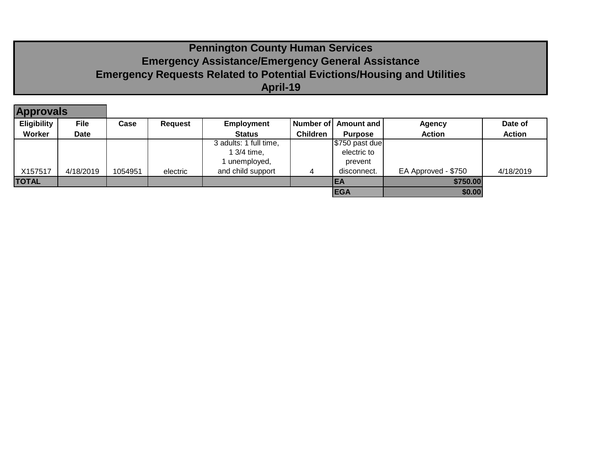# **Pennington County Human Services Emergency Assistance/Emergency General Assistance Emergency Requests Related to Potential Evictions/Housing and Utilities April-19**

| <b>Approvals</b> |             |         |                |                        |                 |                      |                     |               |
|------------------|-------------|---------|----------------|------------------------|-----------------|----------------------|---------------------|---------------|
| Eligibility      | <b>File</b> | Case    | <b>Request</b> | <b>Employment</b>      |                 | Number of Amount and | <b>Agency</b>       | Date of       |
| Worker           | Date        |         |                | <b>Status</b>          | <b>Children</b> | <b>Purpose</b>       | <b>Action</b>       | <b>Action</b> |
|                  |             |         |                | 3 adults: 1 full time, |                 | $5750$ past due      |                     |               |
|                  |             |         |                | 1 3/4 time,            |                 | electric to          |                     |               |
|                  |             |         |                | 1 unemployed,          |                 | prevent              |                     |               |
| X157517          | 4/18/2019   | 1054951 | electric       | and child support      | 4               | disconnect.          | EA Approved - \$750 | 4/18/2019     |
| <b>TOTAL</b>     |             |         |                |                        |                 | IEA                  | \$750.00            |               |
|                  |             |         |                |                        |                 | <b>EGA</b>           | \$0.00              |               |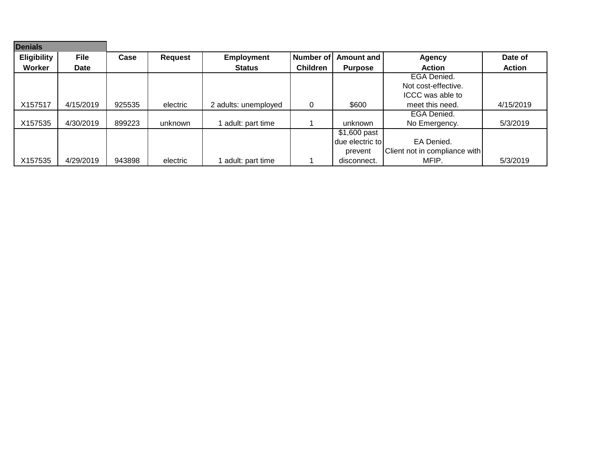| <b>Denials</b>     |             |        |                |                      |                  |                 |                               |               |
|--------------------|-------------|--------|----------------|----------------------|------------------|-----------------|-------------------------------|---------------|
| <b>Eligibility</b> | <b>File</b> | Case   | <b>Request</b> | <b>Employment</b>    | <b>Number of</b> | Amount and      | <b>Agency</b>                 | Date of       |
| Worker             | <b>Date</b> |        |                | <b>Status</b>        | <b>Children</b>  | <b>Purpose</b>  | <b>Action</b>                 | <b>Action</b> |
|                    |             |        |                |                      |                  |                 | EGA Denied.                   |               |
|                    |             |        |                |                      |                  |                 | Not cost-effective.           |               |
|                    |             |        |                |                      |                  |                 | ICCC was able to              |               |
| X157517            | 4/15/2019   | 925535 | electric       | 2 adults: unemployed | 0                | \$600           | meet this need.               | 4/15/2019     |
|                    |             |        |                |                      |                  |                 | EGA Denied.                   |               |
| X157535            | 4/30/2019   | 899223 | unknown        | adult: part time     |                  | unknown         | No Emergency.                 | 5/3/2019      |
|                    |             |        |                |                      |                  | $$1,600$ past   |                               |               |
|                    |             |        |                |                      |                  | due electric to | EA Denied.                    |               |
|                    |             |        |                |                      |                  | prevent         | Client not in compliance with |               |
| X157535            | 4/29/2019   | 943898 | electric       | adult: part time     |                  | disconnect.     | MFIP.                         | 5/3/2019      |